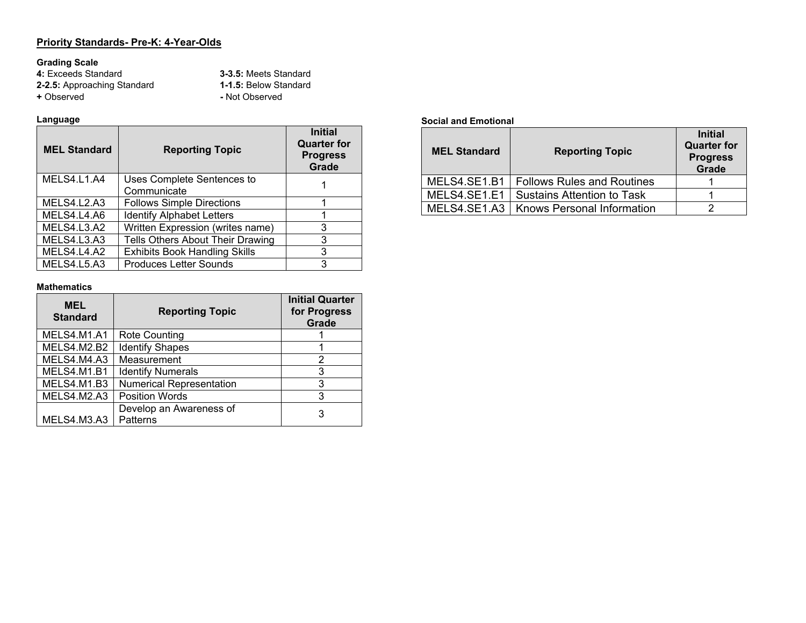#### **Priority Standards- Pre-K: 4-Year-Olds**

**Grading Scale 4:** Exceeds Standard **3-3.5:** Meets Standard **2-2.5:** Approaching Standard **1-1.5:** Below Standard **+** Observed **-** Not Observed

#### **Language**

| <b>MEL Standard</b> | <b>Reporting Topic</b>                    | <b>Initial</b><br><b>Quarter for</b><br><b>Progress</b><br>Grade |
|---------------------|-------------------------------------------|------------------------------------------------------------------|
| MELS4.L1.A4         | Uses Complete Sentences to<br>Communicate |                                                                  |
| MELS4.L2.A3         | <b>Follows Simple Directions</b>          |                                                                  |
| MELS4.L4.A6         | <b>Identify Alphabet Letters</b>          |                                                                  |
| MELS4.L3.A2         | Written Expression (writes name)          | 3                                                                |
| MELS4.L3.A3         | Tells Others About Their Drawing          | 3                                                                |
| MELS4.L4.A2         | <b>Exhibits Book Handling Skills</b>      | 3                                                                |
| MELS4.L5.A3         | <b>Produces Letter Sounds</b>             | З                                                                |

#### **Mathematics**

| <b>MEL</b><br><b>Standard</b> | <b>Reporting Topic</b>              | <b>Initial Quarter</b><br>for Progress<br>Grade |
|-------------------------------|-------------------------------------|-------------------------------------------------|
| MELS4.M1.A1                   | <b>Rote Counting</b>                |                                                 |
| MELS4.M2.B2                   | <b>Identify Shapes</b>              |                                                 |
| MELS4.M4.A3                   | Measurement                         | 2                                               |
| MELS4.M1.B1                   | <b>Identify Numerals</b>            | 3                                               |
| MELS4.M1.B3                   | <b>Numerical Representation</b>     | 3                                               |
| MELS4.M2.A3                   | <b>Position Words</b>               | 3                                               |
| MELS4.M3.A3                   | Develop an Awareness of<br>Patterns | 3                                               |

#### **Social and Emotional**

| <b>MEL Standard</b> | <b>Reporting Topic</b>            | <b>Initial</b><br><b>Quarter for</b><br><b>Progress</b><br><b>Grade</b> |
|---------------------|-----------------------------------|-------------------------------------------------------------------------|
| MELS4.SE1.B1        | <b>Follows Rules and Routines</b> |                                                                         |
| MELS4.SE1.E1        | <b>Sustains Attention to Task</b> |                                                                         |
| MELS4.SE1.A3        | <b>Knows Personal Information</b> |                                                                         |